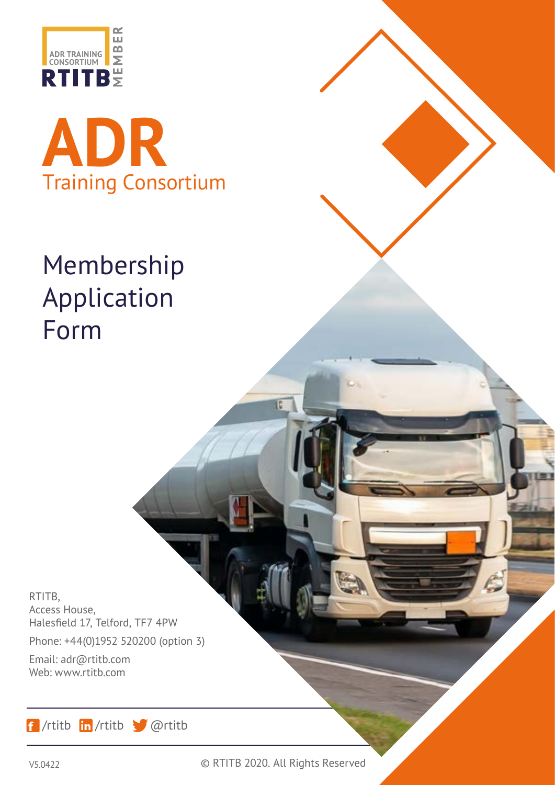



# Membership Application Form

RTITB, Access House, Halesfield 17, Telford, TF7 4PW Phone: +44(0)1952 520200 (option 3)

Email: adr@rtitb.com Web: www.rtitb.com

f /rtitb in /rtitb *@*rtitb

V5.0422 © RTITB 2020. All Rights Reserved

IC.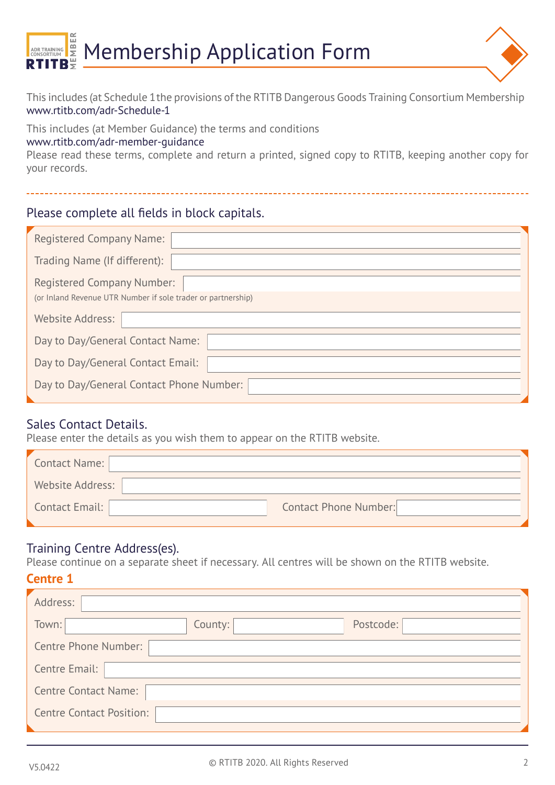

This includes (at Schedule 1the provisions of the RTITB Dangerous Goods Training Consortium Membership www.rtitb.com/adr-Schedule-1

This includes (at Member Guidance) the terms and conditions www.rtitb.com/adr-member-guidance

Please read these terms, complete and return a printed, signed copy to RTITB, keeping another copy for your records.

# Please complete all fields in block capitals.

| <b>Registered Company Name:</b>                                                                   |
|---------------------------------------------------------------------------------------------------|
| Trading Name (If different):                                                                      |
| <b>Registered Company Number:</b><br>(or Inland Revenue UTR Number if sole trader or partnership) |
| Website Address:                                                                                  |
| Day to Day/General Contact Name:                                                                  |
| Day to Day/General Contact Email:                                                                 |
| Day to Day/General Contact Phone Number:                                                          |

## Sales Contact Details.

Please enter the details as you wish them to appear on the RTITB website.

| Contact Name:    |                              |
|------------------|------------------------------|
| Website Address: |                              |
| Contact Email:   | <b>Contact Phone Number:</b> |

## Training Centre Address(es).

Please continue on a separate sheet if necessary. All centres will be shown on the RTITB website.

# **Centre 1**

| Address:                        |         |           |
|---------------------------------|---------|-----------|
| Town:                           | County: | Postcode: |
| Centre Phone Number:            |         |           |
| Centre Email:                   |         |           |
| Centre Contact Name:            |         |           |
| <b>Centre Contact Position:</b> |         |           |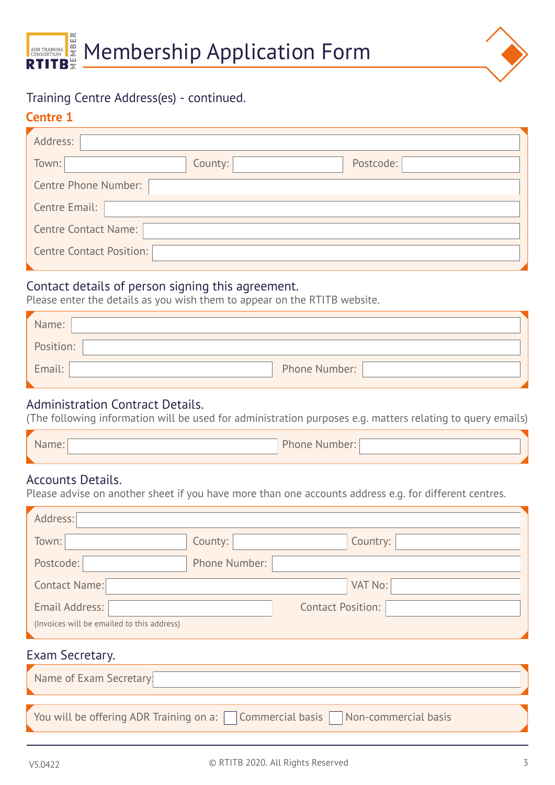



# Training Centre Address(es) - continued.

## **Centre 1**

| Address:                        |         |           |
|---------------------------------|---------|-----------|
| Town:                           | County: | Postcode: |
| Centre Phone Number:            |         |           |
| Centre Email:                   |         |           |
| Centre Contact Name:            |         |           |
| <b>Centre Contact Position:</b> |         |           |
|                                 |         |           |

# Contact details of person signing this agreement.

Please enter the details as you wish them to appear on the RTITB website.

| Name:     |               |
|-----------|---------------|
| Position: |               |
| Email:    | Phone Number: |

#### Administration Contract Details.

(The following information will be used for administration purposes e.g. matters relating to query emails)

| TIE. | Phone<br>Number: |  |
|------|------------------|--|
|      |                  |  |

## Accounts Details.

Please advise on another sheet if you have more than one accounts address e.g. for different centres.

| Address:                                   |               |                                          |
|--------------------------------------------|---------------|------------------------------------------|
| Town:                                      | County:       | Country:                                 |
| Postcode:                                  | Phone Number: |                                          |
| Contact Name:                              |               | VAT No:                                  |
| Email Address:                             |               | <b>Contact Position:</b>                 |
| (Invoices will be emailed to this address) |               |                                          |
| Exam Secretary.                            |               |                                          |
| Name of Exam Secretary:                    |               |                                          |
|                                            |               |                                          |
| You will be offering ADR Training on a:    |               | Commercial basis<br>Non-commercial basis |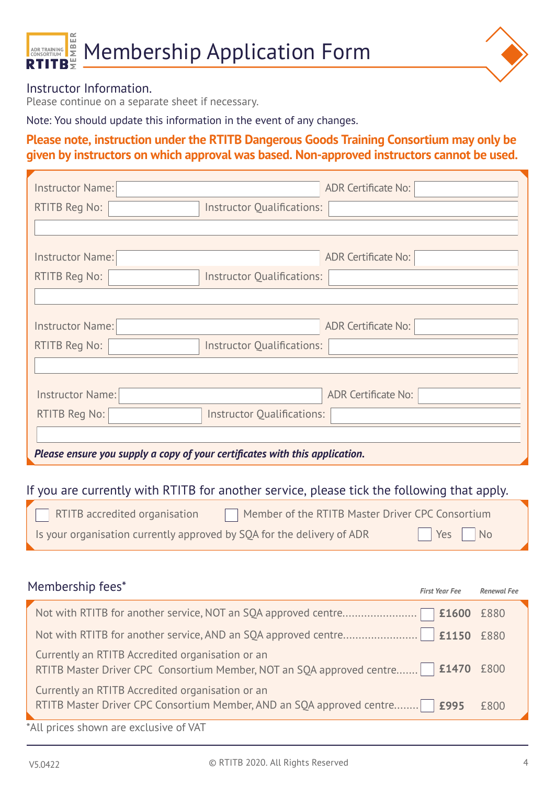



#### Instructor Information.

Please continue on a separate sheet if necessary.

Note: You should update this information in the event of any changes.

# **Please note, instruction under the RTITB Dangerous Goods Training Consortium may only be given by instructors on which approval was based. Non-approved instructors cannot be used.**

| <b>Instructor Name:</b><br><b>ADR Certificate No:</b>                       |  |
|-----------------------------------------------------------------------------|--|
| <b>Instructor Qualifications:</b><br>RTITB Reg No:                          |  |
|                                                                             |  |
|                                                                             |  |
| <b>Instructor Name:</b><br><b>ADR Certificate No:</b>                       |  |
| RTITB Reg No:<br><b>Instructor Qualifications:</b>                          |  |
|                                                                             |  |
|                                                                             |  |
| <b>Instructor Name:</b><br><b>ADR Certificate No:</b>                       |  |
| RTITB Reg No:<br><b>Instructor Qualifications:</b>                          |  |
|                                                                             |  |
|                                                                             |  |
| <b>Instructor Name:</b><br><b>ADR Certificate No:</b>                       |  |
| RTITB Reg No:<br><b>Instructor Qualifications:</b>                          |  |
|                                                                             |  |
|                                                                             |  |
| Please ensure you supply a copy of your certificates with this application. |  |

#### If you are currently with RTITB for another service, please tick the following that apply.

| RTITB accredited organisation                                          | Member of the RTITB Master Driver CPC Consortium |                                      |
|------------------------------------------------------------------------|--------------------------------------------------|--------------------------------------|
| Is your organisation currently approved by SQA for the delivery of ADR |                                                  | $\blacksquare$ Yes $\blacksquare$ No |

| Membership fees*                                                                                                                         | <b>First Year Fee</b> | <b>Renewal Fee</b> |
|------------------------------------------------------------------------------------------------------------------------------------------|-----------------------|--------------------|
|                                                                                                                                          |                       |                    |
| Not with RTITB for another service, AND an SQA approved centre    £1150 £880                                                             |                       |                    |
| Currently an RTITB Accredited organisation or an<br>RTITB Master Driver CPC Consortium Member, NOT an SQA approved centre     £1470 £800 |                       |                    |
| Currently an RTITB Accredited organisation or an<br><b>RTITB Master Driver CPC Consortium Member, AND an SQA approved centre</b> 2995    |                       | £800               |
| *All prices shown are exclusive of VAT                                                                                                   |                       |                    |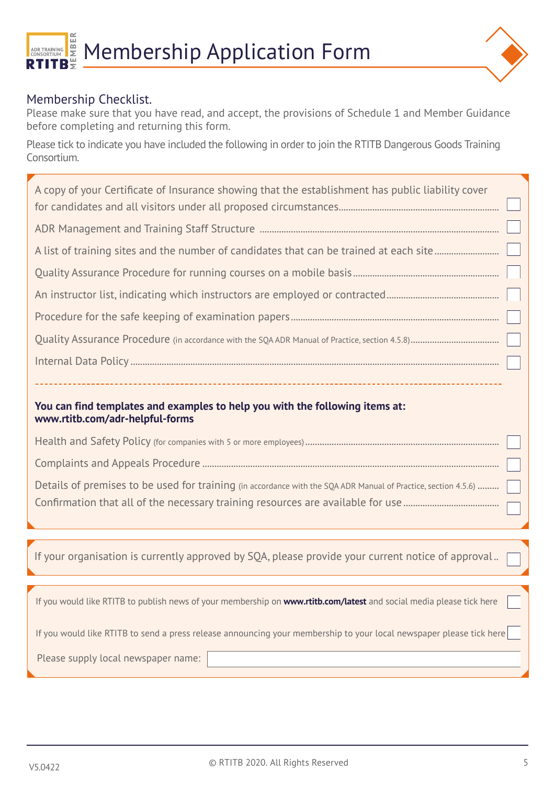



#### Membership Checklist.

Please make sure that you have read, and accept, the provisions of Schedule 1 and Member Guidance before completing and returning this form.

Please tick to indicate you have included the following in order to join the RTITB Dangerous Goods Training Consortium.

| A copy of your Certificate of Insurance showing that the establishment has public liability cover               |
|-----------------------------------------------------------------------------------------------------------------|
|                                                                                                                 |
| A list of training sites and the number of candidates that can be trained at each site                          |
|                                                                                                                 |
|                                                                                                                 |
|                                                                                                                 |
|                                                                                                                 |
|                                                                                                                 |
|                                                                                                                 |
| You can find templates and examples to help you with the following items at:<br>www.rtitb.com/adr-helpful-forms |
|                                                                                                                 |
|                                                                                                                 |
| Details of premises to be used for training (in accordance with the SQA ADR Manual of Practice, section 4.5.6)  |
|                                                                                                                 |
|                                                                                                                 |
|                                                                                                                 |

If your organisation is currently approved by SQA, please provide your current notice of approval..

If you would like RTITB to publish news of your membership on **www.rtitb.com/latest** and social media please tick here

If you would like RTITB to send a press release announcing your membership to your local newspaper please tick here

Please supply local newspaper name: